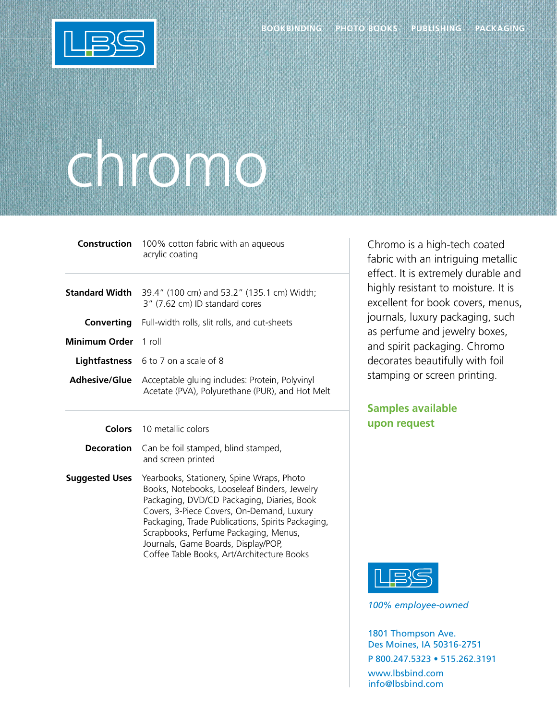

## chromo

|                      | <b>Construction</b> 100% cotton fabric with an aqueous<br>acrylic coating                                              |
|----------------------|------------------------------------------------------------------------------------------------------------------------|
|                      | <b>Standard Width</b> 39.4" (100 cm) and 53.2" (135.1 cm) Width;<br>3" (7.62 cm) ID standard cores                     |
| Converting           | Full-width rolls, slit rolls, and cut-sheets                                                                           |
| Minimum Order 1 roll |                                                                                                                        |
|                      | <b>Lightfastness</b> 6 to 7 on a scale of 8                                                                            |
|                      | <b>Adhesive/Glue</b> Acceptable gluing includes: Protein, Polyvinyl<br>Acetate (PVA), Polyurethane (PUR), and Hot Melt |

**Colors** 10 metallic colors

**Decoration** Can be foil stamped, blind stamped, and screen printed

**Suggested Uses** Yearbooks, Stationery, Spine Wraps, Photo Books, Notebooks, Looseleaf Binders, Jewelry Packaging, DVD/CD Packaging, Diaries, Book Covers, 3-Piece Covers, On-Demand, Luxury Packaging, Trade Publications, Spirits Packaging, Scrapbooks, Perfume Packaging, Menus, Journals, Game Boards, Display/POP, Coffee Table Books, Art/Architecture Books

Chromo is a high-tech coated fabric with an intriguing metallic effect. It is extremely durable and highly resistant to moisture. It is excellent for book covers, menus, journals, luxury packaging, such as perfume and jewelry boxes, and spirit packaging. Chromo decorates beautifully with foil stamping or screen printing.

## **Samples available upon request**



*100% employee-owned*

1801 Thompson Ave. Des Moines, IA 50316-2751 P 800.247.5323 • 515.262.3191 www.lbsbind.com info@lbsbind.com